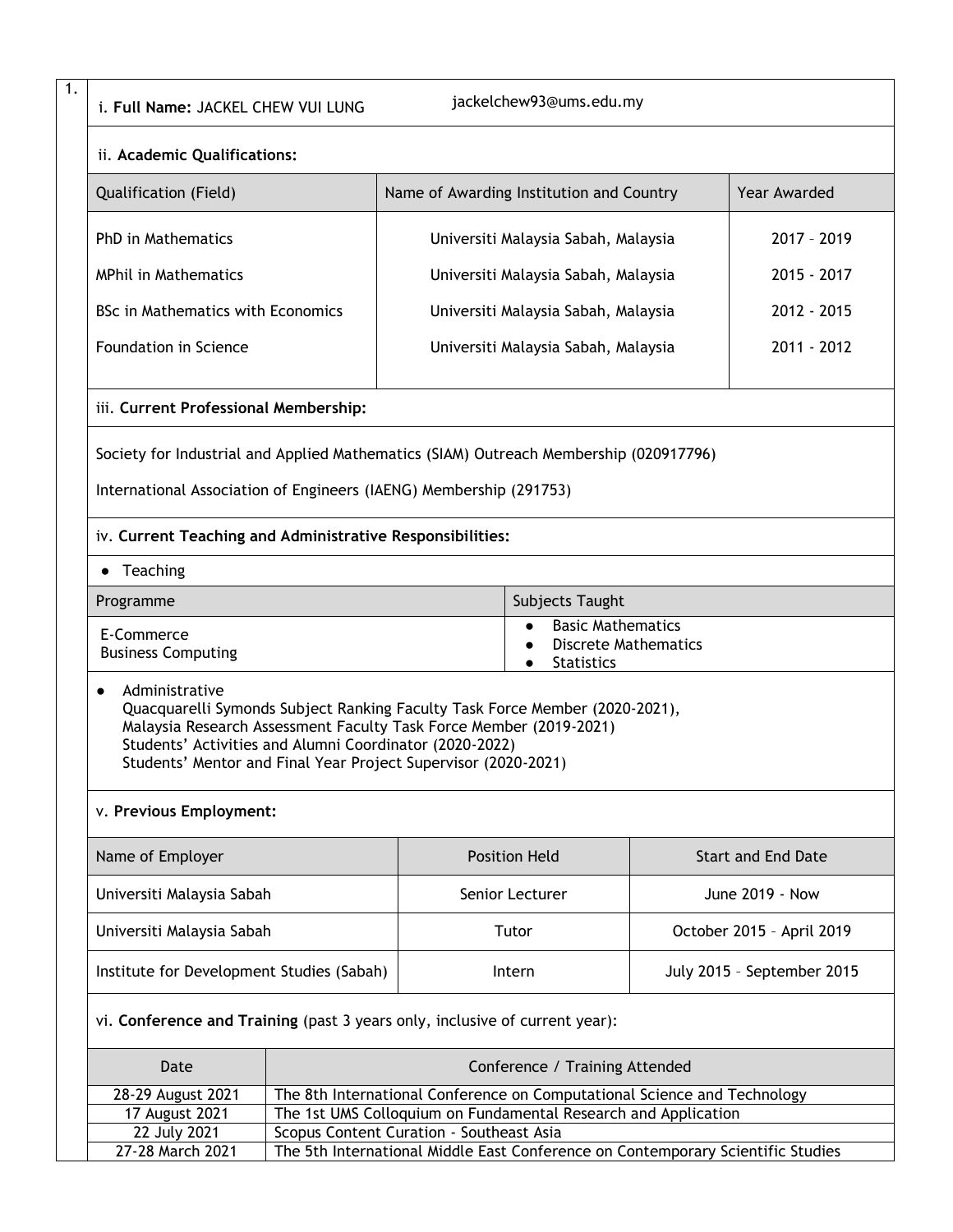i. **Full Name:** JACKEL CHEW VUI LUNG

1.

jackelchew93@ums.edu.my

| <b>UR NAME, JACKLE CHEW</b>                                                                                                                                                                                                                                                                      |  |                                                                              |                                                                                 |                            |              |  |
|--------------------------------------------------------------------------------------------------------------------------------------------------------------------------------------------------------------------------------------------------------------------------------------------------|--|------------------------------------------------------------------------------|---------------------------------------------------------------------------------|----------------------------|--------------|--|
| ii. Academic Qualifications:                                                                                                                                                                                                                                                                     |  |                                                                              |                                                                                 |                            |              |  |
| Qualification (Field)                                                                                                                                                                                                                                                                            |  | Name of Awarding Institution and Country                                     |                                                                                 |                            | Year Awarded |  |
| <b>PhD</b> in Mathematics                                                                                                                                                                                                                                                                        |  | Universiti Malaysia Sabah, Malaysia                                          |                                                                                 |                            | 2017 - 2019  |  |
| <b>MPhil in Mathematics</b>                                                                                                                                                                                                                                                                      |  | Universiti Malaysia Sabah, Malaysia                                          |                                                                                 |                            | 2015 - 2017  |  |
| <b>BSc in Mathematics with Economics</b>                                                                                                                                                                                                                                                         |  | Universiti Malaysia Sabah, Malaysia                                          |                                                                                 |                            | 2012 - 2015  |  |
| <b>Foundation in Science</b>                                                                                                                                                                                                                                                                     |  | Universiti Malaysia Sabah, Malaysia                                          |                                                                                 |                            | 2011 - 2012  |  |
| iii. Current Professional Membership:                                                                                                                                                                                                                                                            |  |                                                                              |                                                                                 |                            |              |  |
| Society for Industrial and Applied Mathematics (SIAM) Outreach Membership (020917796)                                                                                                                                                                                                            |  |                                                                              |                                                                                 |                            |              |  |
| International Association of Engineers (IAENG) Membership (291753)                                                                                                                                                                                                                               |  |                                                                              |                                                                                 |                            |              |  |
| iv. Current Teaching and Administrative Responsibilities:                                                                                                                                                                                                                                        |  |                                                                              |                                                                                 |                            |              |  |
| Teaching<br>$\bullet$                                                                                                                                                                                                                                                                            |  |                                                                              |                                                                                 |                            |              |  |
| Programme                                                                                                                                                                                                                                                                                        |  | Subjects Taught                                                              |                                                                                 |                            |              |  |
| E-Commerce<br><b>Business Computing</b>                                                                                                                                                                                                                                                          |  | <b>Basic Mathematics</b><br><b>Discrete Mathematics</b><br><b>Statistics</b> |                                                                                 |                            |              |  |
| Administrative<br>Quacquarelli Symonds Subject Ranking Faculty Task Force Member (2020-2021),<br>Malaysia Research Assessment Faculty Task Force Member (2019-2021)<br>Students' Activities and Alumni Coordinator (2020-2022)<br>Students' Mentor and Final Year Project Supervisor (2020-2021) |  |                                                                              |                                                                                 |                            |              |  |
| v. Previous Employment:                                                                                                                                                                                                                                                                          |  |                                                                              |                                                                                 |                            |              |  |
| Name of Employer                                                                                                                                                                                                                                                                                 |  | <b>Position Held</b>                                                         |                                                                                 | <b>Start and End Date</b>  |              |  |
| Universiti Malaysia Sabah                                                                                                                                                                                                                                                                        |  | Senior Lecturer                                                              |                                                                                 | June 2019 - Now            |              |  |
| Universiti Malaysia Sabah                                                                                                                                                                                                                                                                        |  | Tutor                                                                        |                                                                                 | October 2015 - April 2019  |              |  |
| Institute for Development Studies (Sabah)                                                                                                                                                                                                                                                        |  | Intern                                                                       |                                                                                 | July 2015 - September 2015 |              |  |
| vi. Conference and Training (past 3 years only, inclusive of current year):                                                                                                                                                                                                                      |  |                                                                              |                                                                                 |                            |              |  |
| Date                                                                                                                                                                                                                                                                                             |  | Conference / Training Attended                                               |                                                                                 |                            |              |  |
| 28-29 August 2021<br>The 8th International Conference on Computational Science and Technology<br>The 1st UMS Colloquium on Fundamental Research and Application                                                                                                                                  |  |                                                                              |                                                                                 |                            |              |  |
| 17 August 2021<br>22 July 2021                                                                                                                                                                                                                                                                   |  | Scopus Content Curation - Southeast Asia                                     |                                                                                 |                            |              |  |
| 27-28 March 2021                                                                                                                                                                                                                                                                                 |  |                                                                              | The 5th International Middle East Conference on Contemporary Scientific Studies |                            |              |  |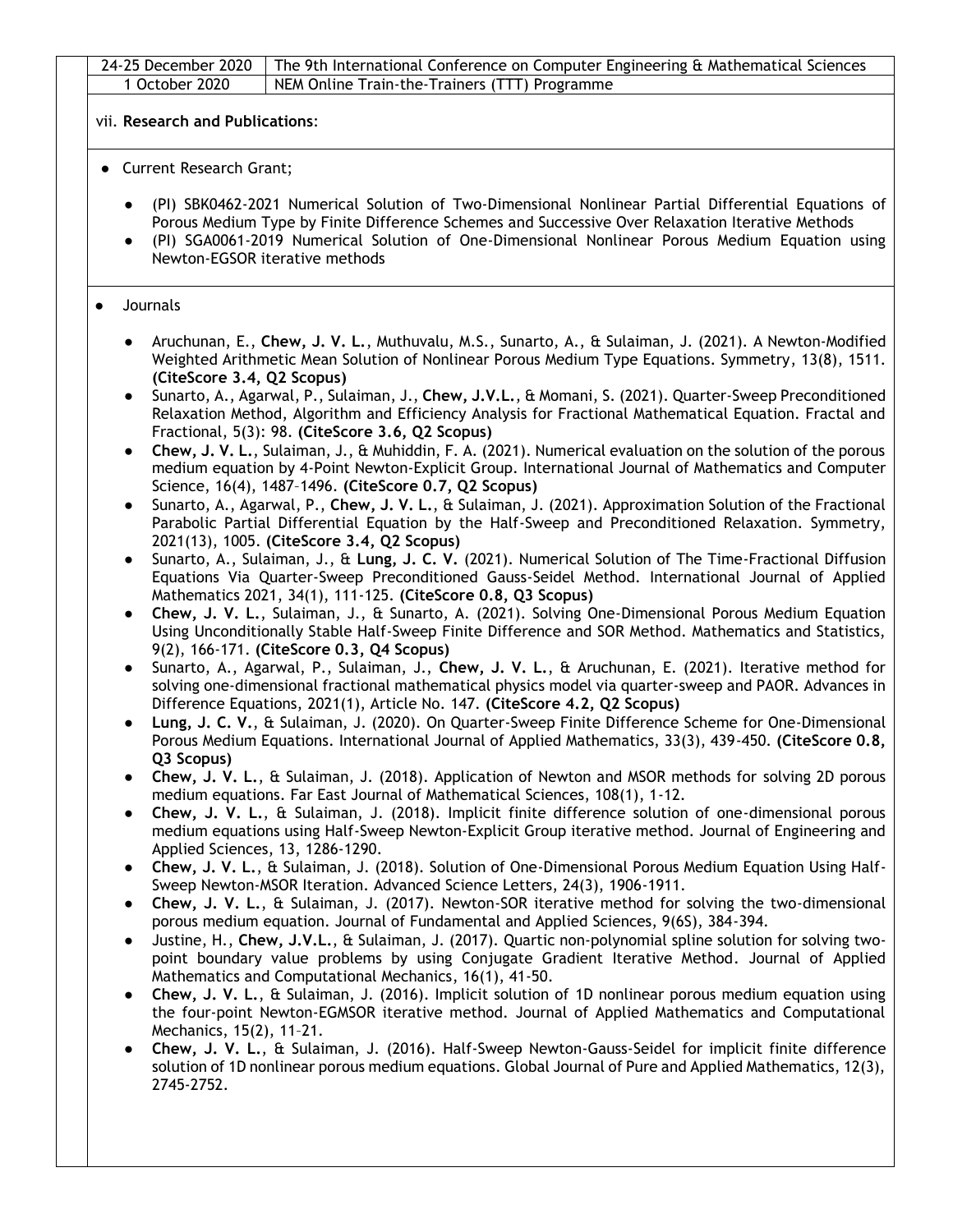|           | 24-25 December 2020<br>The 9th International Conference on Computer Engineering & Mathematical Sciences<br>1 October 2020<br>NEM Online Train-the-Trainers (TTT) Programme                                                                                                                                                                               |
|-----------|----------------------------------------------------------------------------------------------------------------------------------------------------------------------------------------------------------------------------------------------------------------------------------------------------------------------------------------------------------|
|           |                                                                                                                                                                                                                                                                                                                                                          |
|           | vii. Research and Publications:                                                                                                                                                                                                                                                                                                                          |
|           | • Current Research Grant;                                                                                                                                                                                                                                                                                                                                |
|           | (PI) SBK0462-2021 Numerical Solution of Two-Dimensional Nonlinear Partial Differential Equations of<br>Porous Medium Type by Finite Difference Schemes and Successive Over Relaxation Iterative Methods<br>(PI) SGA0061-2019 Numerical Solution of One-Dimensional Nonlinear Porous Medium Equation using<br>$\bullet$<br>Newton-EGSOR iterative methods |
| $\bullet$ | Journals                                                                                                                                                                                                                                                                                                                                                 |
|           | Aruchunan, E., Chew, J. V. L., Muthuvalu, M.S., Sunarto, A., & Sulaiman, J. (2021). A Newton-Modified<br>Weighted Arithmetic Mean Solution of Nonlinear Porous Medium Type Equations. Symmetry, 13(8), 1511.<br>(CiteScore 3.4, Q2 Scopus)                                                                                                               |
|           | Sunarto, A., Agarwal, P., Sulaiman, J., Chew, J.V.L., & Momani, S. (2021). Quarter-Sweep Preconditioned<br>Relaxation Method, Algorithm and Efficiency Analysis for Fractional Mathematical Equation. Fractal and<br>Fractional, 5(3): 98. (CiteScore 3.6, Q2 Scopus)                                                                                    |
|           | Chew, J. V. L., Sulaiman, J., & Muhiddin, F. A. (2021). Numerical evaluation on the solution of the porous<br>medium equation by 4-Point Newton-Explicit Group. International Journal of Mathematics and Computer<br>Science, 16(4), 1487-1496. (CiteScore 0.7, Q2 Scopus)                                                                               |
|           | Sunarto, A., Agarwal, P., Chew, J. V. L., & Sulaiman, J. (2021). Approximation Solution of the Fractional<br>Parabolic Partial Differential Equation by the Half-Sweep and Preconditioned Relaxation. Symmetry,<br>2021(13), 1005. (CiteScore 3.4, Q2 Scopus)                                                                                            |
|           | Sunarto, A., Sulaiman, J., & Lung, J. C. V. (2021). Numerical Solution of The Time-Fractional Diffusion<br>$\bullet$<br>Equations Via Quarter-Sweep Preconditioned Gauss-Seidel Method. International Journal of Applied<br>Mathematics 2021, 34(1), 111-125. (CiteScore 0.8, Q3 Scopus)                                                                 |
|           | Chew, J. V. L., Sulaiman, J., & Sunarto, A. (2021). Solving One-Dimensional Porous Medium Equation<br>$\bullet$<br>Using Unconditionally Stable Half-Sweep Finite Difference and SOR Method. Mathematics and Statistics,<br>9(2), 166-171. (CiteScore 0.3, Q4 Scopus)                                                                                    |
|           | Sunarto, A., Agarwal, P., Sulaiman, J., Chew, J. V. L., & Aruchunan, E. (2021). Iterative method for<br>$\bullet$<br>solving one-dimensional fractional mathematical physics model via quarter-sweep and PAOR. Advances in<br>Difference Equations, 2021(1), Article No. 147. (CiteScore 4.2, Q2 Scopus)                                                 |
|           | Lung, J. C. V., & Sulaiman, J. (2020). On Quarter-Sweep Finite Difference Scheme for One-Dimensional<br>Porous Medium Equations. International Journal of Applied Mathematics, 33(3), 439-450. (CiteScore 0.8,<br>Q3 Scopus)                                                                                                                             |
|           | Chew, J. V. L., & Sulaiman, J. (2018). Application of Newton and MSOR methods for solving 2D porous<br>medium equations. Far East Journal of Mathematical Sciences, 108(1), 1-12.<br>Chew, J. V. L., & Sulaiman, J. (2018). Implicit finite difference solution of one-dimensional porous                                                                |
|           | medium equations using Half-Sweep Newton-Explicit Group iterative method. Journal of Engineering and<br>Applied Sciences, 13, 1286-1290.<br>Chew, J. V. L., & Sulaiman, J. (2018). Solution of One-Dimensional Porous Medium Equation Using Half-<br>$\bullet$<br>Sweep Newton-MSOR Iteration. Advanced Science Letters, 24(3), 1906-1911.               |
|           | Chew, J. V. L., & Sulaiman, J. (2017). Newton-SOR iterative method for solving the two-dimensional<br>$\bullet$<br>porous medium equation. Journal of Fundamental and Applied Sciences, 9(6S), 384-394.<br>Justine, H., Chew, J.V.L., & Sulaiman, J. (2017). Quartic non-polynomial spline solution for solving two-<br>$\bullet$                        |
|           | point boundary value problems by using Conjugate Gradient Iterative Method. Journal of Applied<br>Mathematics and Computational Mechanics, 16(1), 41-50.<br>Chew, J. V. L., & Sulaiman, J. (2016). Implicit solution of 1D nonlinear porous medium equation using                                                                                        |
|           | the four-point Newton-EGMSOR iterative method. Journal of Applied Mathematics and Computational<br>Mechanics, 15(2), 11-21.<br>Chew, J. V. L., & Sulaiman, J. (2016). Half-Sweep Newton-Gauss-Seidel for implicit finite difference                                                                                                                      |
|           | solution of 1D nonlinear porous medium equations. Global Journal of Pure and Applied Mathematics, 12(3),<br>2745-2752.                                                                                                                                                                                                                                   |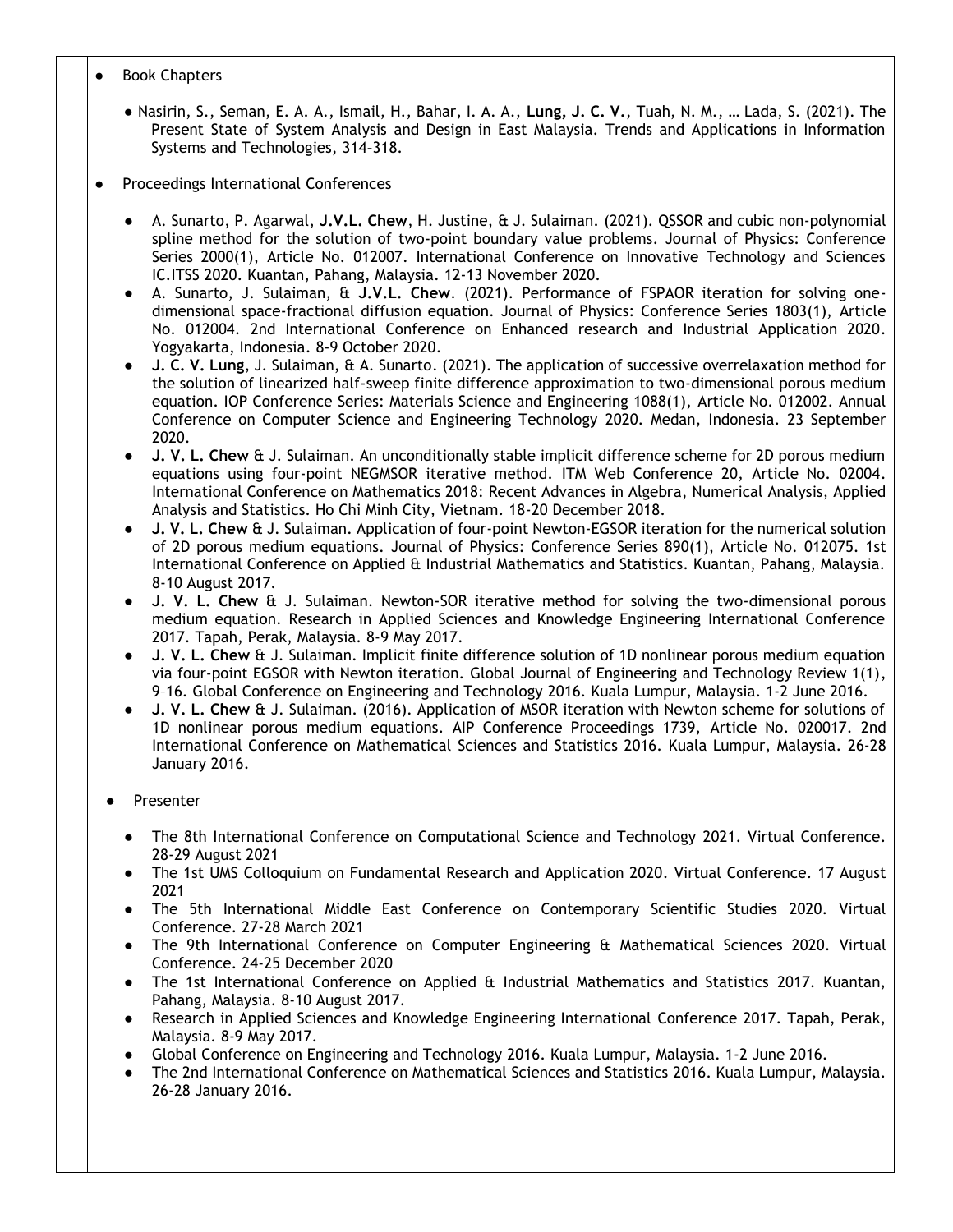- Book Chapters
	- Nasirin, S., Seman, E. A. A., Ismail, H., Bahar, I. A. A., **Lung, J. C. V.**, Tuah, N. M., … Lada, S. (2021). The Present State of System Analysis and Design in East Malaysia. Trends and Applications in Information Systems and Technologies, 314–318.
- Proceedings International Conferences
	- A. Sunarto, P. Agarwal, **J.V.L. Chew**, H. Justine, & J. Sulaiman. (2021). QSSOR and cubic non-polynomial spline method for the solution of two-point boundary value problems. Journal of Physics: Conference Series 2000(1), Article No. 012007. International Conference on Innovative Technology and Sciences IC.ITSS 2020. Kuantan, Pahang, Malaysia. 12-13 November 2020.
	- A. Sunarto, J. Sulaiman, & **J.V.L. Chew**. (2021). Performance of FSPAOR iteration for solving onedimensional space-fractional diffusion equation. Journal of Physics: Conference Series 1803(1), Article No. 012004. 2nd International Conference on Enhanced research and Industrial Application 2020. Yogyakarta, Indonesia. 8-9 October 2020.
	- **J. C. V. Lung**, J. Sulaiman, & A. Sunarto. (2021). The application of successive overrelaxation method for the solution of linearized half-sweep finite difference approximation to two-dimensional porous medium equation. IOP Conference Series: Materials Science and Engineering 1088(1), Article No. 012002. Annual Conference on Computer Science and Engineering Technology 2020. Medan, Indonesia. 23 September 2020.
	- **J. V. L. Chew** & J. Sulaiman. An unconditionally stable implicit difference scheme for 2D porous medium equations using four-point NEGMSOR iterative method. ITM Web Conference 20, Article No. 02004. International Conference on Mathematics 2018: Recent Advances in Algebra, Numerical Analysis, Applied Analysis and Statistics. Ho Chi Minh City, Vietnam. 18-20 December 2018.
	- **J. V. L. Chew** & J. Sulaiman. Application of four-point Newton-EGSOR iteration for the numerical solution of 2D porous medium equations. Journal of Physics: Conference Series 890(1), Article No. 012075. 1st International Conference on Applied & Industrial Mathematics and Statistics. Kuantan, Pahang, Malaysia. 8-10 August 2017.
	- **J. V. L. Chew** & J. Sulaiman. Newton-SOR iterative method for solving the two-dimensional porous medium equation. Research in Applied Sciences and Knowledge Engineering International Conference 2017. Tapah, Perak, Malaysia. 8-9 May 2017.
	- **J. V. L. Chew & J. Sulaiman. Implicit finite difference solution of 1D nonlinear porous medium equation** via four-point EGSOR with Newton iteration. Global Journal of Engineering and Technology Review 1(1), 9–16. Global Conference on Engineering and Technology 2016. Kuala Lumpur, Malaysia. 1-2 June 2016.
	- **J. V. L. Chew** & J. Sulaiman. (2016). Application of MSOR iteration with Newton scheme for solutions of 1D nonlinear porous medium equations. AIP Conference Proceedings 1739, Article No. 020017. 2nd International Conference on Mathematical Sciences and Statistics 2016. Kuala Lumpur, Malaysia. 26-28 January 2016.
	- **Presenter** 
		- The 8th International Conference on Computational Science and Technology 2021. Virtual Conference. 28-29 August 2021
		- The 1st UMS Colloquium on Fundamental Research and Application 2020. Virtual Conference. 17 August 2021
		- The 5th International Middle East Conference on Contemporary Scientific Studies 2020. Virtual Conference. 27-28 March 2021
		- The 9th International Conference on Computer Engineering & Mathematical Sciences 2020. Virtual Conference. 24-25 December 2020
		- The 1st International Conference on Applied & Industrial Mathematics and Statistics 2017. Kuantan, Pahang, Malaysia. 8-10 August 2017.
		- Research in Applied Sciences and Knowledge Engineering International Conference 2017. Tapah, Perak, Malaysia. 8-9 May 2017.
		- Global Conference on Engineering and Technology 2016. Kuala Lumpur, Malaysia. 1-2 June 2016.
		- The 2nd International Conference on Mathematical Sciences and Statistics 2016. Kuala Lumpur, Malaysia. 26-28 January 2016.